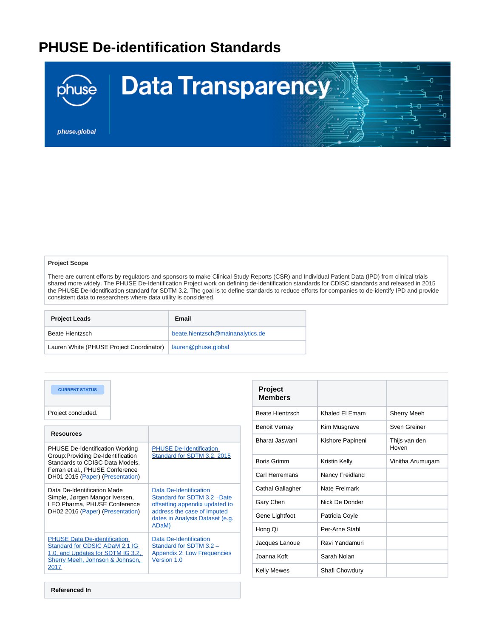## **PHUSE De-identification Standards**



## **Project Scope**

There are current efforts by regulators and sponsors to make Clinical Study Reports (CSR) and Individual Patient Data (IPD) from clinical trials shared more widely. The PHUSE De-Identification Project work on defining de-identification standards for CDISC standards and released in 2015 the PHUSE De-Identification standard for SDTM 3.2. The goal is to define standards to reduce efforts for companies to de-identify IPD and provide consistent data to researchers where data utility is considered.

| <b>Project Leads</b>                     | Email                            |
|------------------------------------------|----------------------------------|
| Beate Hientzsch                          | beate.hientzsch@mainanalytics.de |
| Lauren White (PHUSE Project Coordinator) | lauren@phuse.global              |

| <b>CURRENT STATUS</b><br>Project concluded.                                                                                                                                            |                                                                                                                                                                    |
|----------------------------------------------------------------------------------------------------------------------------------------------------------------------------------------|--------------------------------------------------------------------------------------------------------------------------------------------------------------------|
| <b>Resources</b>                                                                                                                                                                       |                                                                                                                                                                    |
| <b>PHUSE De-Identification Working</b><br>Group: Providing De-Identification<br>Standards to CDISC Data Models,<br>Ferran et al., PHUSE Conference<br>DH01 2015 (Paper) (Presentation) | <b>PHUSE De-Identification</b><br>Standard for SDTM 3.2, 2015                                                                                                      |
| Data De-Identification Made<br>Simple, Jørgen Mangor Iversen,<br>LEO Pharma, PHUSE Conference<br>DH02 2016 (Paper) (Presentation)                                                      | Data De-Identification<br>Standard for SDTM 3.2 -Date<br>offsetting appendix updated to<br>address the case of imputed<br>dates in Analysis Dataset (e.g.<br>ADaM) |
| <b>PHUSE Data De-identification</b><br>Standard for CDSIC ADaM 2.1 IG<br>1.0. and Updates for SDTM IG 3.2.<br>Sherry Meeh. Johnson & Johnson.<br>2017                                  | Data De-Identification<br>Standard for SDTM 3.2 -<br><b>Appendix 2: Low Frequencies</b><br>Version 1.0                                                             |

| <b>Project</b><br><b>Members</b> |                  |                        |
|----------------------------------|------------------|------------------------|
| Beate Hientzsch                  | Khaled El Emam   | <b>Sherry Meeh</b>     |
| <b>Benoit Vernay</b>             | Kim Musgrave     | Sven Greiner           |
| Bharat Jaswani                   | Kishore Papineni | Thijs van den<br>Hoven |
| Boris Grimm                      | Kristin Kelly    | Vinitha Arumugam       |
| Carl Herremans                   | Nancy Freidland  |                        |
| Cathal Gallagher                 | Nate Freimark    |                        |
| Gary Chen                        | Nick De Donder   |                        |
| Gene Lightfoot                   | Patricia Coyle   |                        |
| Hong Qi                          | Per-Arne Stahl   |                        |
| Jacques Lanoue                   | Ravi Yandamuri   |                        |
| Joanna Koft                      | Sarah Nolan      |                        |
| <b>Kelly Mewes</b>               | Shafi Chowdury   |                        |

**Referenced In**